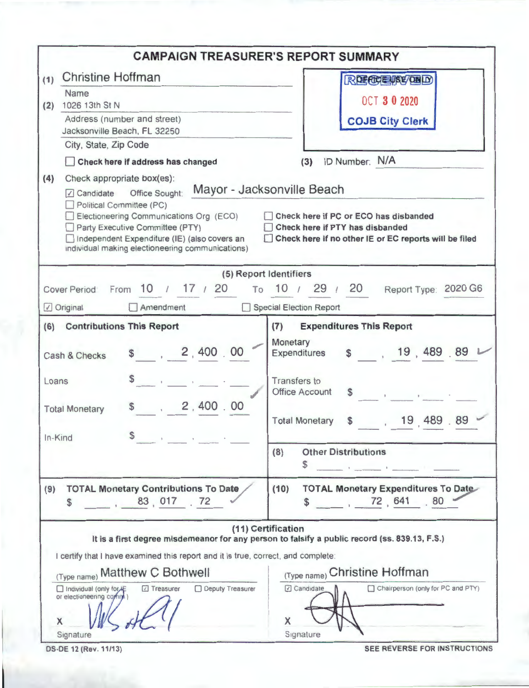|                                                                                                                                                                                                                                        | <b>CAMPAIGN TREASURER'S REPORT SUMMARY</b>                                                                                                                      |
|----------------------------------------------------------------------------------------------------------------------------------------------------------------------------------------------------------------------------------------|-----------------------------------------------------------------------------------------------------------------------------------------------------------------|
| <b>Christine Hoffman</b><br>(1)                                                                                                                                                                                                        | <b>RECCEASE/DED</b>                                                                                                                                             |
| Name                                                                                                                                                                                                                                   | <b>OCT 3 0 2020</b>                                                                                                                                             |
| 1026 13th St N<br>(2)                                                                                                                                                                                                                  |                                                                                                                                                                 |
| Address (number and street)<br>Jacksonville Beach, FL 32250                                                                                                                                                                            | <b>COJB City Clerk</b>                                                                                                                                          |
| City, State, Zip Code                                                                                                                                                                                                                  |                                                                                                                                                                 |
| Check here if address has changed                                                                                                                                                                                                      | ID Number: N/A<br>(3)                                                                                                                                           |
| (4)<br>Check appropriate box(es):                                                                                                                                                                                                      |                                                                                                                                                                 |
| Candidate Office Sought:<br>Political Committee (PC)<br>Electioneering Communications Org (ECO)<br>Party Executive Committee (PTY)<br>Independent Expenditure (IE) (also covers an<br>individual making electioneering communications) | Mayor - Jacksonville Beach<br>Check here if PC or ECO has disbanded<br>Check here if PTY has disbanded<br>Check here if no other IE or EC reports will be filed |
|                                                                                                                                                                                                                                        | (5) Report Identifiers                                                                                                                                          |
| From $10 / 17 / 20$<br><b>Cover Period</b>                                                                                                                                                                                             | To 10 / 29 / 20<br>Report Type: 2020 G6                                                                                                                         |
| √ Original<br>Amendment                                                                                                                                                                                                                | Special Election Report                                                                                                                                         |
| (6) Contributions This Report                                                                                                                                                                                                          | <b>Expenditures This Report</b><br>(7)                                                                                                                          |
| \$ 2,400.00<br>Cash & Checks                                                                                                                                                                                                           | Monetary<br>\$19,489.89<br>Expenditures                                                                                                                         |
| Loans                                                                                                                                                                                                                                  | <b>Transfers to</b><br><b>Office Account</b>                                                                                                                    |
| 2,400.00<br><b>Total Monetary</b>                                                                                                                                                                                                      | , 19, 489.89<br><b>Total Monetary</b><br>\$                                                                                                                     |
| \$<br>In-Kind<br>the contract of the con-                                                                                                                                                                                              | <b>Other Distributions</b><br>(8)<br>\$<br>the contract of the contract of the                                                                                  |
| <b>TOTAL Monetary Contributions To Date</b><br>(9)<br>83, 017 . 72<br>\$                                                                                                                                                               | <b>TOTAL Monetary Expenditures To Date</b><br>(10)<br>72,641<br>80<br>\$                                                                                        |
| I certify that I have examined this report and it is true, correct, and complete:                                                                                                                                                      | (11) Certification<br>It is a first degree misdemeanor for any person to falsify a public record (ss. 839.13, F.S.)                                             |
| (Type name) Matthew C Bothwell                                                                                                                                                                                                         | (Type name) Christine Hoffman                                                                                                                                   |
| □ Individual (only for +<br>□ Treasurer<br>or electioneering coming<br>X                                                                                                                                                               | 7 Candidate<br>Deputy Treasurer<br>Chairperson (only for PC and PTY)<br>X                                                                                       |
| Signature                                                                                                                                                                                                                              | Signature                                                                                                                                                       |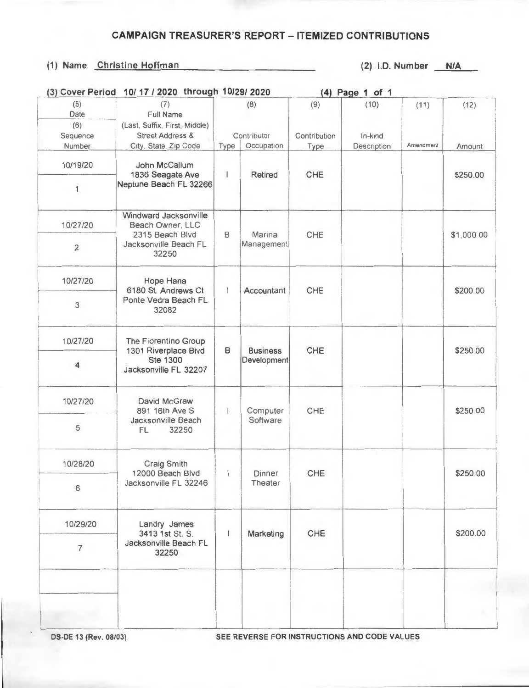## **CAMPAIGN TREASURER'S REPORT - ITEMIZED CONTRIBUTIONS**

## (1) Name Christine Hoffman (2) I.D. Number N/A

| <b>Street Address &amp;</b><br>City, State, Zip Code<br>John McCallum<br>1836 Seagate Ave<br>Neptune Beach FL 32266<br>Windward Jacksonville<br>Beach Owner, LLC<br>2315 Beach Blvd<br>Jacksonville Beach FL<br>32250<br>Hope Hana | Type<br>$\overline{1}$<br>B          | Contributor<br>Occupation<br>Retired<br>Marina | Contribution<br>Type<br>CHE | In-kind<br>Description | Amendment | Amount     |
|------------------------------------------------------------------------------------------------------------------------------------------------------------------------------------------------------------------------------------|--------------------------------------|------------------------------------------------|-----------------------------|------------------------|-----------|------------|
|                                                                                                                                                                                                                                    |                                      |                                                |                             |                        |           | \$250.00   |
|                                                                                                                                                                                                                                    |                                      |                                                |                             |                        |           |            |
|                                                                                                                                                                                                                                    |                                      |                                                |                             |                        |           |            |
|                                                                                                                                                                                                                                    |                                      |                                                |                             |                        |           | \$1,000 00 |
|                                                                                                                                                                                                                                    |                                      | Management                                     | CHE                         |                        |           |            |
| 6180 St. Andrews Ct                                                                                                                                                                                                                | $\mathsf{I}$<br>Accountant           |                                                | CHE                         |                        |           | \$200.00   |
| Ponte Vedra Beach FL<br>32082                                                                                                                                                                                                      |                                      |                                                |                             |                        |           |            |
| The Fiorentino Group<br>1301 Riverplace Blvd<br><b>Ste 1300</b><br>Jacksonville FL 32207                                                                                                                                           | B<br><b>Business</b><br>Development  |                                                |                             |                        |           | \$250.00   |
|                                                                                                                                                                                                                                    |                                      |                                                |                             |                        |           |            |
| David McGraw<br>891 16th Ave S<br>Jacksonville Beach<br>32250<br>FL                                                                                                                                                                | Computer<br>$\mathsf{I}$<br>Software | CHE                                            |                             |                        | \$250.00  |            |
|                                                                                                                                                                                                                                    |                                      |                                                |                             |                        |           |            |
| Craig Smith<br>12000 Beach Blvd<br>Jacksonville FL 32246                                                                                                                                                                           |                                      | Dinner<br>Theater                              | CHE                         |                        |           | \$250.00   |
|                                                                                                                                                                                                                                    |                                      |                                                |                             |                        |           |            |
| 10/29/20<br>Landry James<br>3413 1st St. S.<br>Jacksonville Beach FL<br>$\overline{7}$<br>32250                                                                                                                                    | $\mathbf{I}$                         |                                                |                             |                        |           | \$200.00   |
|                                                                                                                                                                                                                                    |                                      |                                                |                             |                        |           |            |
|                                                                                                                                                                                                                                    |                                      |                                                |                             |                        |           |            |
|                                                                                                                                                                                                                                    |                                      | $\mathbf{I}$                                   | Marketing                   | CHE<br>CHE             |           |            |

OS-DE 13 (Rev. 08/03) SEE REVERSE FOR INSTRUCTIONS AND CODE VALUES

- ---- -----------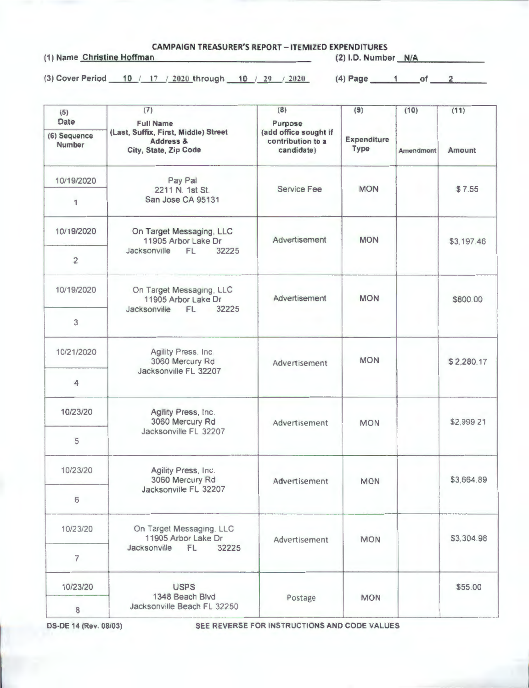**CAMPAIGN TREASURER'S REPORT** - **ITEMIZED EXPENDITURES**  (1) Name Christine Hoffman (2) I.D. Number **---'-N"""'/A'-'------ --**

(3) Cover Period 10 / 17 / 2020 through 10 / 29 / 2020 (4) Page 1 of 2

| (5)<br><b>Date</b>            | (7)<br><b>Full Name</b>                                                               | (8)<br>Purpose                                           | (9)<br>Expenditure<br>Type | (10)<br><b>Amendment</b> | (11)<br>Amount |
|-------------------------------|---------------------------------------------------------------------------------------|----------------------------------------------------------|----------------------------|--------------------------|----------------|
| (6) Sequence<br><b>Number</b> | (Last, Suffix, First, Middle) Street<br><b>Address &amp;</b><br>City, State, Zip Code | (add office sought if<br>contribution to a<br>candidate) |                            |                          |                |
| 10/19/2020                    | Pay Pal<br>2211 N. 1st St.<br>San Jose CA 95131                                       | <b>Service Fee</b>                                       | <b>MON</b>                 |                          | \$7.55         |
| 1                             |                                                                                       |                                                          |                            |                          |                |
| 10/19/2020                    | On Target Messaging, LLC<br>11905 Arbor Lake Dr<br>Jacksonville<br>32225<br>FL.       | Advertisement                                            | <b>MON</b>                 |                          | \$3,197.46     |
| $\overline{c}$                |                                                                                       |                                                          |                            |                          |                |
| 10/19/2020                    | On Target Messaging, LLC<br>11905 Arbor Lake Dr<br>Jacksonville FL<br>32225           | Advertisement                                            | <b>MON</b>                 |                          | \$800.00       |
| 3                             |                                                                                       |                                                          |                            |                          |                |
| 10/21/2020                    | Agility Press. Inc.<br>3060 Mercury Rd<br>Jacksonville FL 32207                       | Advertisement                                            | <b>MON</b>                 |                          | \$2,280.17     |
| 4                             |                                                                                       |                                                          |                            |                          |                |
| 10/23/20                      | Agility Press, Inc.<br>3060 Mercury Rd<br>Jacksonville FL 32207                       | Advertisement                                            | <b>MON</b>                 |                          | \$2,999.21     |
| 5                             |                                                                                       |                                                          |                            |                          |                |
| 10/23/20                      | Agility Press, Inc.<br>3060 Mercury Rd<br>Jacksonville FL 32207                       | Advertisement                                            | <b>MON</b>                 |                          | \$3,664.89     |
| 6                             |                                                                                       |                                                          |                            |                          |                |
| 10/23/20                      | On Target Messaging, LLC<br>11905 Arbor Lake Dr<br>FL<br>32225<br>Jacksonville        | Advertisement                                            | <b>MON</b>                 |                          | \$3,304.98     |
| $\overline{7}$                |                                                                                       |                                                          |                            |                          |                |
| 10/23/20                      | <b>USPS</b>                                                                           |                                                          |                            |                          | \$55.00        |
| $\,$ 8 $\,$                   | 1348 Beach Blvd<br>Jacksonville Beach FL 32250                                        | Postage                                                  | <b>MON</b>                 |                          |                |

OS-DE **14 (Rev.** 08/03) SEE REVERSE FOR INSTRUCTIONS AND CODE VALUES